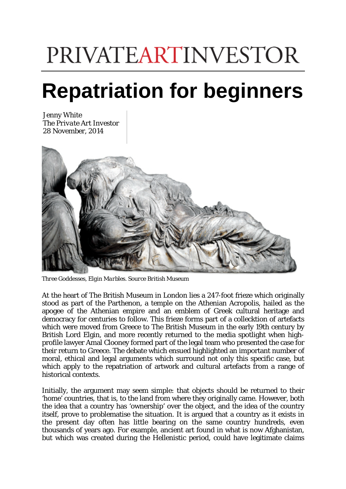## **PRIVATEARTINVESTOR**

## **Repatriation for beginners**

Jenny White The *Private Art Investor* 28 November, 2014



*Three Goddesses, Elgin Marbles. Source British Museum*

At the heart of The British Museum in London lies a 247-foot frieze which originally stood as part of the Parthenon, a temple on the Athenian Acropolis, hailed as the apogee of the Athenian empire and an emblem of Greek cultural heritage and democracy for centuries to follow. This frieze forms part of a collecktion of artefacts which were moved from Greece to The British Museum in the early 19th century by British Lord Elgin, and more recently returned to the media spotlight when highprofile lawyer Amal Clooney formed part of the legal team who presented the case for their return to Greece. The debate which ensued highlighted an important number of moral, ethical and legal arguments which surround not only this specific case, but which apply to the repatriation of artwork and cultural artefacts from a range of historical contexts.

Initially, the argument may seem simple: that objects should be returned to their 'home' countries, that is, to the land from where they originally came. However, both the idea that a country has 'ownership' over the object, and the idea of the country itself, prove to problematise the situation. It is argued that a country as it exists in the present day often has little bearing on the same country hundreds, even thousands of years ago. For example, ancient art found in what is now Afghanistan, but which was created during the Hellenistic period, could have legitimate claims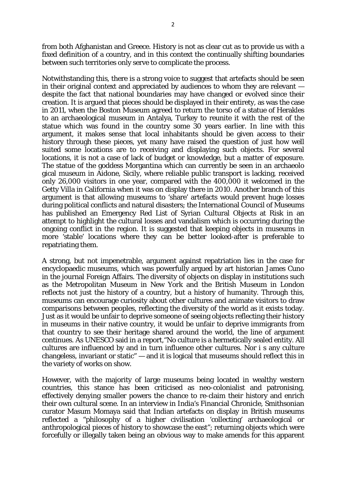from both Afghanistan and Greece. History is not as clear cut as to provide us with a fixed definition of a country, and in this context the continually shifting boundaries between such territories only serve to complicate the process.

Notwithstanding this, there is a strong voice to suggest that artefacts should be seen in their original context and appreciated by audiences to whom they are relevant despite the fact that national boundaries may have changed or evolved since their creation. It is argued that pieces should be displayed in their entirety, as was the case in 2011, when the Boston Museum agreed to return the torso of a statue of Herakles to an archaeological museum in Antalya, Turkey to reunite it with the rest of the statue which was found in the country some 30 years earlier. In line with this argument, it makes sense that local inhabitants should be given access to their history through these pieces, yet many have raised the question of just how well suited some locations are to receiving and displaying such objects. For several locations, it is not a case of lack of budget or knowledge, but a matter of exposure. The statue of the goddess Morgantina which can currently be seen in an archaeolo gical museum in Aidone, Sicily, where reliable public transport is lacking, received only 26,000 visitors in one year, compared with the 400,000 it welcomed in the Getty Villa in California when it was on display there in 2010. Another branch of this argument is that allowing museums to 'share' artefacts would prevent huge losses during political conflicts and natural disasters; the International Council of Museums has published an Emergency Red List of Syrian Cultural Objects at Risk in an attempt to highlight the cultural losses and vandalism which is occurring during the ongoing conflict in the region. It is suggested that keeping objects in museums in more 'stable' locations where they can be better looked-after is preferable to repatriating them.

A strong, but not impenetrable, argument against repatriation lies in the case for encyclopaedic museums, which was powerfully argued by art historian James Cuno in the journal Foreign Affairs. The diversity of objects on display in institutions such as the Metropolitan Museum in New York and the British Museum in London reflects not just the history of a country, but a history of humanity. Through this, museums can encourage curiosity about other cultures and animate visitors to draw comparisons between peoples, reflecting the diversity of the world as it exists today. Just as it would be unfair to deprive someone of seeing objects reflecting their history in museums in their native country, it would be unfair to deprive immigrants from that country to see their heritage shared around the world, the line of argument continues. As UNESCO said in a report,"No culture is a hermetically sealed entity. All cultures are influenced by and in turn influence other cultures. Nor i s any culture changeless, invariant or static" — and it is logical that museums should reflect this in the variety of works on show.

However, with the majority of large museums being located in wealthy western countries, this stance has been criticised as neo-colonialist and patronising, effectively denying smaller powers the chance to re-claim their history and enrich their own cultural scene. In an interview in India's Financial Chronicle, Smithsonian curator Masum Momaya said that Indian artefacts on display in British museums reflected a "philosophy of a higher civilisation 'collecting' archaeological or anthropological pieces of history to showcase the east"; returning objects which were forcefully or illegally taken being an obvious way to make amends for this apparent